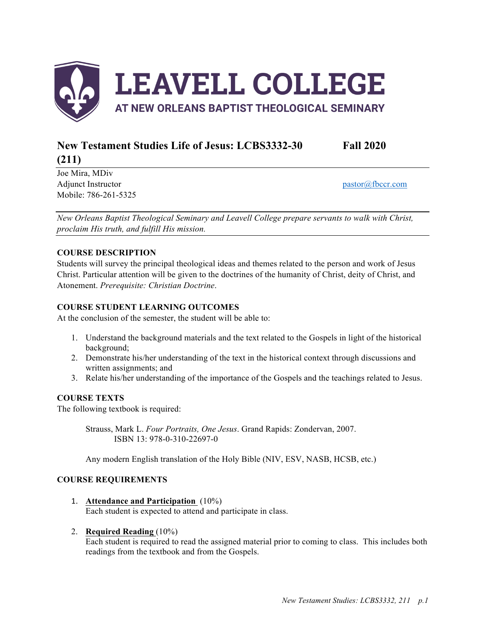

# **New Testament Studies Life of Jesus: LCBS3332-30 Fall 2020 (211)**

Joe Mira, MDiv Adjunct Instructor pastor  $\alpha$  fbccr.com Mobile: 786-261-5325

*New Orleans Baptist Theological Seminary and Leavell College prepare servants to walk with Christ, proclaim His truth, and fulfill His mission.*

## **COURSE DESCRIPTION**

Students will survey the principal theological ideas and themes related to the person and work of Jesus Christ. Particular attention will be given to the doctrines of the humanity of Christ, deity of Christ, and Atonement. *Prerequisite: Christian Doctrine*.

## **COURSE STUDENT LEARNING OUTCOMES**

At the conclusion of the semester, the student will be able to:

- 1. Understand the background materials and the text related to the Gospels in light of the historical background;
- 2. Demonstrate his/her understanding of the text in the historical context through discussions and written assignments; and
- 3. Relate his/her understanding of the importance of the Gospels and the teachings related to Jesus.

## **COURSE TEXTS**

The following textbook is required:

Strauss, Mark L. *Four Portraits, One Jesus*. Grand Rapids: Zondervan, 2007. ISBN 13: 978-0-310-22697-0

Any modern English translation of the Holy Bible (NIV, ESV, NASB, HCSB, etc.)

## **COURSE REQUIREMENTS**

1. **Attendance and Participation** (10%) Each student is expected to attend and participate in class.

#### 2. **Required Reading** (10%)

Each student is required to read the assigned material prior to coming to class. This includes both readings from the textbook and from the Gospels.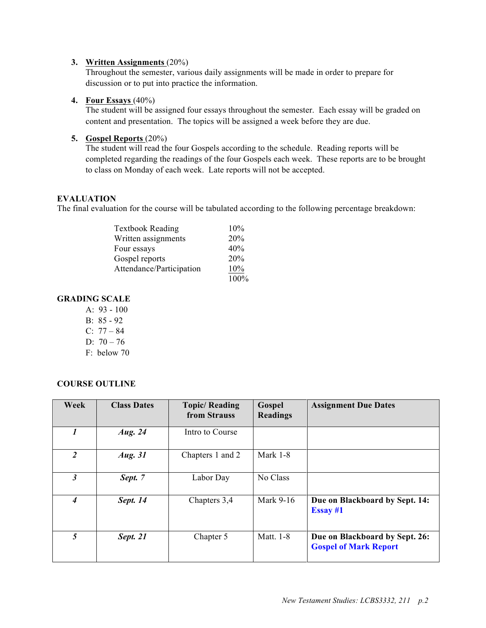#### **3. Written Assignments** (20%)

Throughout the semester, various daily assignments will be made in order to prepare for discussion or to put into practice the information.

#### **4. Four Essays** (40%)

The student will be assigned four essays throughout the semester. Each essay will be graded on content and presentation. The topics will be assigned a week before they are due.

### **5. Gospel Reports** (20%)

The student will read the four Gospels according to the schedule. Reading reports will be completed regarding the readings of the four Gospels each week. These reports are to be brought to class on Monday of each week. Late reports will not be accepted.

#### **EVALUATION**

The final evaluation for the course will be tabulated according to the following percentage breakdown:

| <b>Textbook Reading</b>  | 10%  |
|--------------------------|------|
| Written assignments      | 20%  |
| Four essays              | 40%  |
| Gospel reports           | 20%  |
| Attendance/Participation | 10%  |
|                          | 100% |

## **GRADING SCALE**

- A: 93 100
- B: 85 92
- C: 77 84
- $D: 70 76$
- F: below 70

#### **COURSE OUTLINE**

| Week           | <b>Class Dates</b> | <b>Topic/Reading</b><br>from Strauss | Gospel<br><b>Readings</b> | <b>Assignment Due Dates</b>                                    |
|----------------|--------------------|--------------------------------------|---------------------------|----------------------------------------------------------------|
|                | Aug. 24            | Intro to Course                      |                           |                                                                |
| $\overline{2}$ | Aug. 31            | Chapters 1 and 2                     | Mark 1-8                  |                                                                |
| 3              | Sept. 7            | Labor Day                            | No Class                  |                                                                |
| 4              | Sept. 14           | Chapters 3,4                         | Mark 9-16                 | Due on Blackboard by Sept. 14:<br>Essay #1                     |
| 5              | Sept. 21           | Chapter 5                            | Matt. 1-8                 | Due on Blackboard by Sept. 26:<br><b>Gospel of Mark Report</b> |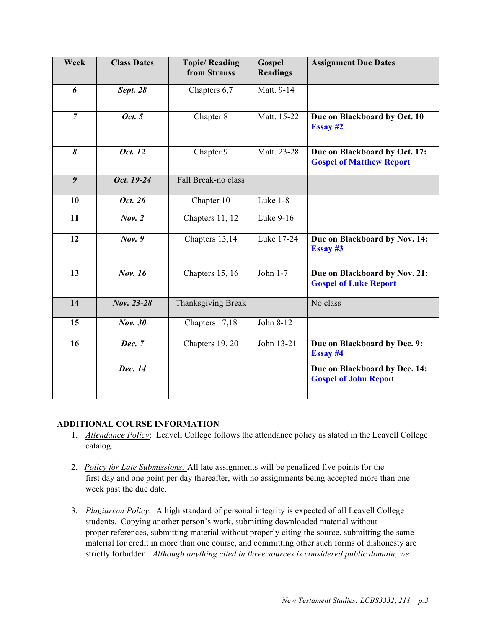| Week             | <b>Class Dates</b> | <b>Topic/Reading</b><br>from Strauss | Gospel<br><b>Readings</b> | <b>Assignment Due Dates</b>                                      |
|------------------|--------------------|--------------------------------------|---------------------------|------------------------------------------------------------------|
| 6                | Sept. 28           | Chapters 6,7                         | Matt. 9-14                |                                                                  |
| $\overline{7}$   | Oct. 5             | Chapter 8                            | Matt. 15-22               | Due on Blackboard by Oct. 10<br>Essay #2                         |
| 8                | Oct. 12            | Chapter 9                            | Matt. 23-28               | Due on Blackboard by Oct. 17:<br><b>Gospel of Matthew Report</b> |
| $\boldsymbol{9}$ | Oct. 19-24         | Fall Break-no class                  |                           |                                                                  |
| 10               | Oct. 26            | Chapter 10                           | Luke 1-8                  |                                                                  |
| 11               | Nov. 2             | Chapters 11, $\overline{12}$         | Luke 9-16                 |                                                                  |
| 12               | Nov. 9             | Chapters 13,14                       | Luke 17-24                | Due on Blackboard by Nov. 14:<br>Essay #3                        |
| 13               | Nov. 16            | Chapters 15, 16                      | John 1-7                  | Due on Blackboard by Nov. 21:<br><b>Gospel of Luke Report</b>    |
| 14               | Nov. 23-28         | <b>Thanksgiving Break</b>            |                           | No class                                                         |
| 15               | Nov. 30            | Chapters 17,18                       | John 8-12                 |                                                                  |
| 16               | Dec. 7             | Chapters 19, 20                      | John 13-21                | Due on Blackboard by Dec. 9:<br>Essay #4                         |
|                  | Dec. 14            |                                      |                           | Due on Blackboard by Dec. 14:<br><b>Gospel of John Report</b>    |

#### **ADDITIONAL COURSE INFORMATION**

- 1. *Attendance Policy*: Leavell College follows the attendance policy as stated in the Leavell College catalog.
- 2. *Policy for Late Submissions:* All late assignments will be penalized five points for the first day and one point per day thereafter, with no assignments being accepted more than one week past the due date.
- 3. *Plagiarism Policy:* A high standard of personal integrity is expected of all Leavell College students. Copying another person's work, submitting downloaded material without proper references, submitting material without properly citing the source, submitting the same material for credit in more than one course, and committing other such forms of dishonesty are strictly forbidden. *Although anything cited in three sources is considered public domain, we*